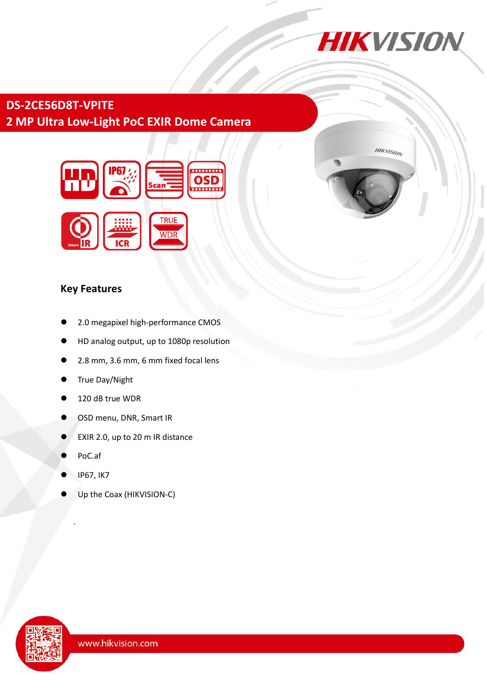

**HIKVISION** 

# **DS-2CE56D8T-VPITE 2 MP Ultra Low-Light PoC EXIR Dome Camera**



## **Key Features**

- 2.0 megapixel high-performance CMOS
- HD analog output, up to 1080p resolution
- 2.8 mm, 3.6 mm, 6 mm fixed focal lens
- True Day/Night
- 120 dB true WDR
- OSD menu, DNR, Smart IR
- EXIR 2.0, up to 20 m IR distance
- PoC.af

.

- IP67, IK7
- Up the Coax (HIKVISION-C)

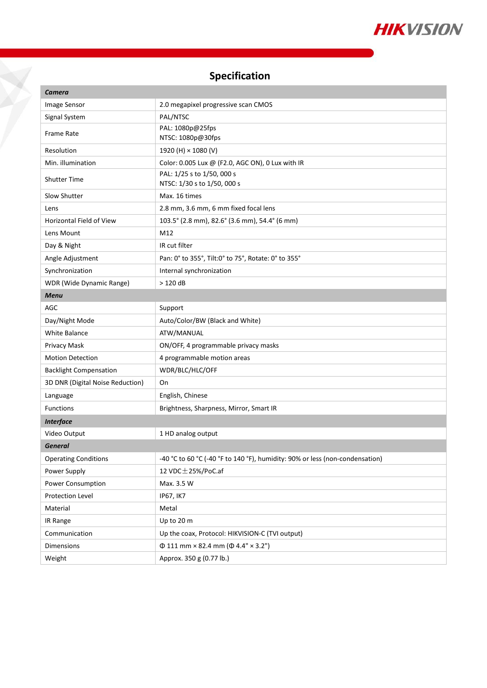

# **Specification**

Y

| <b>Camera</b>                    |                                                                              |
|----------------------------------|------------------------------------------------------------------------------|
| Image Sensor                     | 2.0 megapixel progressive scan CMOS                                          |
| Signal System                    | PAL/NTSC                                                                     |
| <b>Frame Rate</b>                | PAL: 1080p@25fps<br>NTSC: 1080p@30fps                                        |
| Resolution                       | 1920 (H) × 1080 (V)                                                          |
| Min. illumination                | Color: 0.005 Lux @ (F2.0, AGC ON), 0 Lux with IR                             |
| <b>Shutter Time</b>              | PAL: 1/25 s to 1/50, 000 s<br>NTSC: 1/30 s to 1/50, 000 s                    |
| Slow Shutter                     | Max. 16 times                                                                |
| Lens                             | 2.8 mm, 3.6 mm, 6 mm fixed focal lens                                        |
| Horizontal Field of View         | 103.5° (2.8 mm), 82.6° (3.6 mm), 54.4° (6 mm)                                |
| Lens Mount                       | M12                                                                          |
| Day & Night                      | IR cut filter                                                                |
| Angle Adjustment                 | Pan: 0° to 355°, Tilt:0° to 75°, Rotate: 0° to 355°                          |
| Synchronization                  | Internal synchronization                                                     |
| WDR (Wide Dynamic Range)         | $>120$ dB                                                                    |
| <b>Menu</b>                      |                                                                              |
| AGC                              | Support                                                                      |
| Day/Night Mode                   | Auto/Color/BW (Black and White)                                              |
| <b>White Balance</b>             | ATW/MANUAL                                                                   |
| Privacy Mask                     | ON/OFF, 4 programmable privacy masks                                         |
| <b>Motion Detection</b>          | 4 programmable motion areas                                                  |
| <b>Backlight Compensation</b>    | WDR/BLC/HLC/OFF                                                              |
| 3D DNR (Digital Noise Reduction) | On                                                                           |
| Language                         | English, Chinese                                                             |
| <b>Functions</b>                 | Brightness, Sharpness, Mirror, Smart IR                                      |
| <b>Interface</b>                 |                                                                              |
| Video Output                     | 1 HD analog output                                                           |
| <b>General</b>                   |                                                                              |
| <b>Operating Conditions</b>      | -40 °C to 60 °C (-40 °F to 140 °F), humidity: 90% or less (non-condensation) |
| Power Supply                     | 12 VDC $\pm$ 25%/PoC.af                                                      |
| Power Consumption                | Max. 3.5 W                                                                   |
| Protection Level                 | <b>IP67, IK7</b>                                                             |
| Material                         | Metal                                                                        |
| IR Range                         | Up to 20 m                                                                   |
| Communication                    | Up the coax, Protocol: HIKVISION-C (TVI output)                              |
| Dimensions                       | $\Phi$ 111 mm × 82.4 mm ( $\Phi$ 4.4" × 3.2")                                |
| Weight                           | Approx. 350 g (0.77 lb.)                                                     |